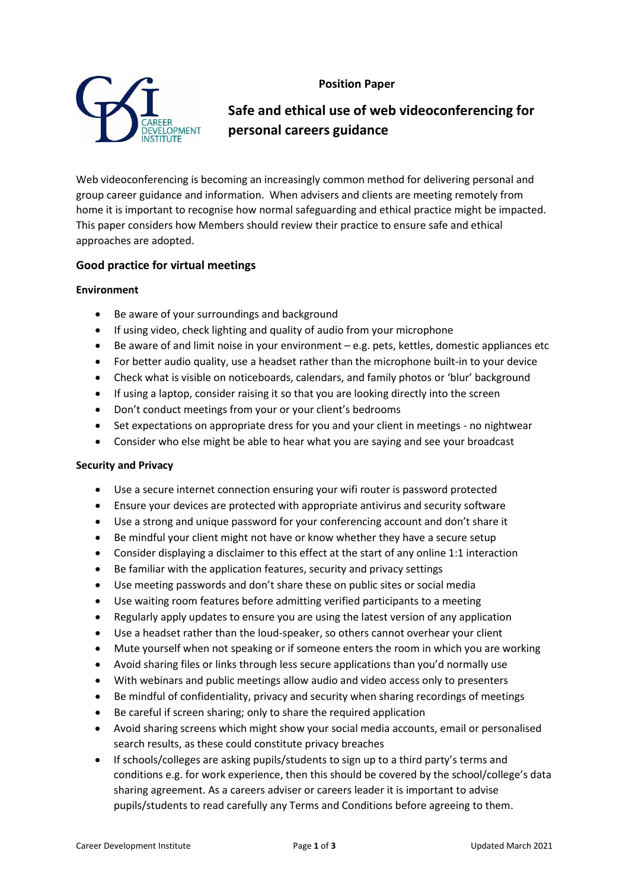# **Position Paper**



# **Safe and ethical use of web videoconferencing for personal careers guidance**

Web videoconferencing is becoming an increasingly common method for delivering personal and group career guidance and information. When advisers and clients are meeting remotely from home it is important to recognise how normal safeguarding and ethical practice might be impacted. This paper considers how Members should review their practice to ensure safe and ethical approaches are adopted.

## **Good practice for virtual meetings**

#### **Environment**

- Be aware of your surroundings and background
- If using video, check lighting and quality of audio from your microphone
- $\bullet$  Be aware of and limit noise in your environment  $-e.g.$  pets, kettles, domestic appliances etc
- For better audio quality, use a headset rather than the microphone built-in to your device
- Check what is visible on noticeboards, calendars, and family photos or 'blur' background
- If using a laptop, consider raising it so that you are looking directly into the screen
- Don't conduct meetings from your or your client's bedrooms
- Set expectations on appropriate dress for you and your client in meetings no nightwear
- Consider who else might be able to hear what you are saying and see your broadcast

#### **Security and Privacy**

- Use a secure internet connection ensuring your wifi router is password protected
- Ensure your devices are protected with appropriate antivirus and security software
- Use a strong and unique password for your conferencing account and don't share it
- Be mindful your client might not have or know whether they have a secure setup
- Consider displaying a disclaimer to this effect at the start of any online 1:1 interaction
- Be familiar with the application features, security and privacy settings
- Use meeting passwords and don't share these on public sites or social media
- Use waiting room features before admitting verified participants to a meeting
- Regularly apply updates to ensure you are using the latest version of any application
- Use a headset rather than the loud-speaker, so others cannot overhear your client
- Mute yourself when not speaking or if someone enters the room in which you are working
- Avoid sharing files or links through less secure applications than you'd normally use
- With webinars and public meetings allow audio and video access only to presenters
- Be mindful of confidentiality, privacy and security when sharing recordings of meetings
- Be careful if screen sharing; only to share the required application
- Avoid sharing screens which might show your social media accounts, email or personalised search results, as these could constitute privacy breaches
- If schools/colleges are asking pupils/students to sign up to a third party's terms and conditions e.g. for work experience, then this should be covered by the school/college's data sharing agreement. As a careers adviser or careers leader it is important to advise pupils/students to read carefully any Terms and Conditions before agreeing to them.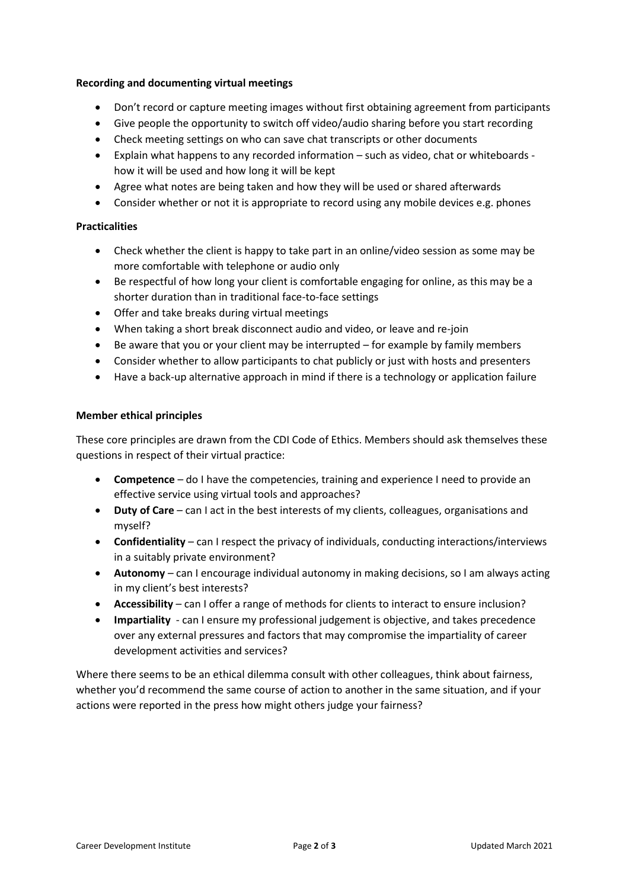#### **Recording and documenting virtual meetings**

- Don't record or capture meeting images without first obtaining agreement from participants
- Give people the opportunity to switch off video/audio sharing before you start recording
- Check meeting settings on who can save chat transcripts or other documents
- Explain what happens to any recorded information such as video, chat or whiteboards how it will be used and how long it will be kept
- Agree what notes are being taken and how they will be used or shared afterwards
- Consider whether or not it is appropriate to record using any mobile devices e.g. phones

## **Practicalities**

- Check whether the client is happy to take part in an online/video session as some may be more comfortable with telephone or audio only
- Be respectful of how long your client is comfortable engaging for online, as this may be a shorter duration than in traditional face-to-face settings
- Offer and take breaks during virtual meetings
- When taking a short break disconnect audio and video, or leave and re-join
- Be aware that you or your client may be interrupted for example by family members
- Consider whether to allow participants to chat publicly or just with hosts and presenters
- Have a back-up alternative approach in mind if there is a technology or application failure

#### **Member ethical principles**

These core principles are drawn from the CDI Code of Ethics. Members should ask themselves these questions in respect of their virtual practice:

- **Competence** do I have the competencies, training and experience I need to provide an effective service using virtual tools and approaches?
- **Duty of Care** can I act in the best interests of my clients, colleagues, organisations and myself?
- **Confidentiality** can I respect the privacy of individuals, conducting interactions/interviews in a suitably private environment?
- **Autonomy**  can I encourage individual autonomy in making decisions, so I am always acting in my client's best interests?
- **Accessibility** can I offer a range of methods for clients to interact to ensure inclusion?
- **Impartiality** can I ensure my professional judgement is objective, and takes precedence over any external pressures and factors that may compromise the impartiality of career development activities and services?

Where there seems to be an ethical dilemma consult with other colleagues, think about fairness, whether you'd recommend the same course of action to another in the same situation, and if your actions were reported in the press how might others judge your fairness?